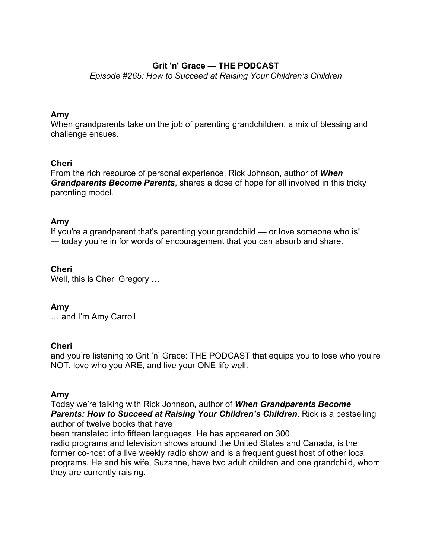# **Grit 'n' Grace — THE PODCAST**

*Episode #265: How to Succeed at Raising Your Children's Children*

## **Amy**

When grandparents take on the job of parenting grandchildren, a mix of blessing and challenge ensues.

# **Cheri**

From the rich resource of personal experience, Rick Johnson, author of *When Grandparents Become Parents*, shares a dose of hope for all involved in this tricky parenting model.

# **Amy**

If you're a grandparent that's parenting your grandchild — or love someone who is! — today you're in for words of encouragement that you can absorb and share.

# **Cheri**

Well, this is Cheri Gregory …

### **Amy**

… and I'm Amy Carroll

### **Cheri**

and you're listening to Grit 'n' Grace: THE PODCAST that equips you to lose who you're NOT, love who you ARE, and live your ONE life well.

### **Amy**

Today we're talking with Rick Johnson**,** author of *When Grandparents Become Parents: How to Succeed at Raising Your Children's Children*. Rick is a bestselling author of twelve books that have

been translated into fifteen languages. He has appeared on 300

radio programs and television shows around the United States and Canada, is the former co-host of a live weekly radio show and is a frequent guest host of other local programs. He and his wife, Suzanne, have two adult children and one grandchild, whom they are currently raising.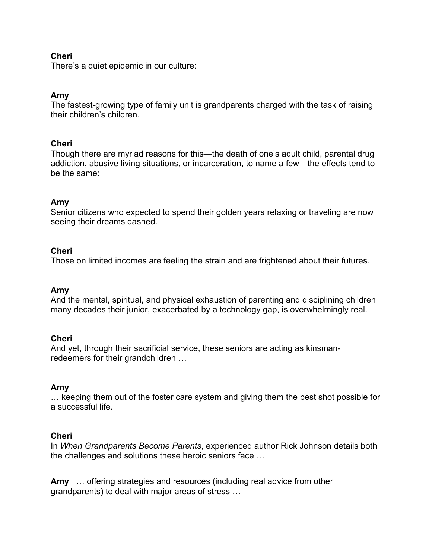### **Cheri**

There's a quiet epidemic in our culture:

#### **Amy**

The fastest-growing type of family unit is grandparents charged with the task of raising their children's children.

#### **Cheri**

Though there are myriad reasons for this—the death of one's adult child, parental drug addiction, abusive living situations, or incarceration, to name a few—the effects tend to be the same:

#### **Amy**

Senior citizens who expected to spend their golden years relaxing or traveling are now seeing their dreams dashed.

#### **Cheri**

Those on limited incomes are feeling the strain and are frightened about their futures.

#### **Amy**

And the mental, spiritual, and physical exhaustion of parenting and disciplining children many decades their junior, exacerbated by a technology gap, is overwhelmingly real.

#### **Cheri**

And yet, through their sacrificial service, these seniors are acting as kinsmanredeemers for their grandchildren …

#### **Amy**

… keeping them out of the foster care system and giving them the best shot possible for a successful life.

### **Cheri**

In *When Grandparents Become Parents*, experienced author Rick Johnson details both the challenges and solutions these heroic seniors face …

**Amy** … offering strategies and resources (including real advice from other grandparents) to deal with major areas of stress …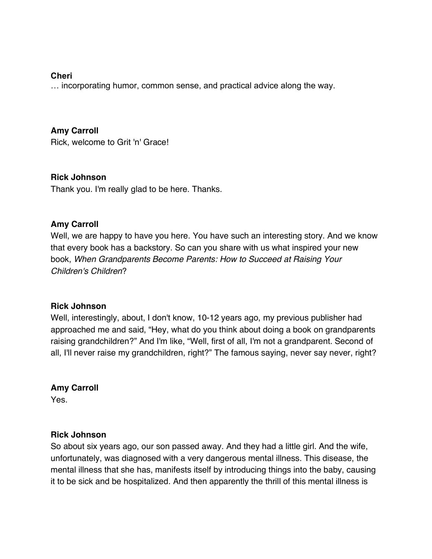#### **Cheri**

… incorporating humor, common sense, and practical advice along the way.

## **Amy Carroll**

Rick, welcome to Grit 'n' Grace!

### **Rick Johnson**

Thank you. I'm really glad to be here. Thanks.

### **Amy Carroll**

Well, we are happy to have you here. You have such an interesting story. And we know that every book has a backstory. So can you share with us what inspired your new book, *When Grandparents Become Parents: How to Succeed at Raising Your Children's Children*?

### **Rick Johnson**

Well, interestingly, about, I don't know, 10-12 years ago, my previous publisher had approached me and said, "Hey, what do you think about doing a book on grandparents raising grandchildren?" And I'm like, "Well, first of all, I'm not a grandparent. Second of all, I'll never raise my grandchildren, right?" The famous saying, never say never, right?

### **Amy Carroll**

Yes.

### **Rick Johnson**

So about six years ago, our son passed away. And they had a little girl. And the wife, unfortunately, was diagnosed with a very dangerous mental illness. This disease, the mental illness that she has, manifests itself by introducing things into the baby, causing it to be sick and be hospitalized. And then apparently the thrill of this mental illness is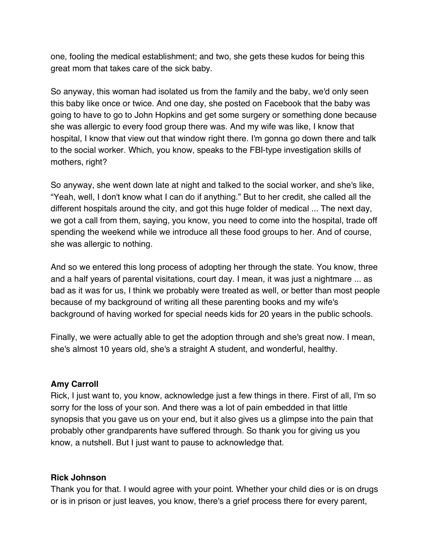one, fooling the medical establishment; and two, she gets these kudos for being this great mom that takes care of the sick baby.

So anyway, this woman had isolated us from the family and the baby, we'd only seen this baby like once or twice. And one day, she posted on Facebook that the baby was going to have to go to John Hopkins and get some surgery or something done because she was allergic to every food group there was. And my wife was like, I know that hospital, I know that view out that window right there. I'm gonna go down there and talk to the social worker. Which, you know, speaks to the FBI-type investigation skills of mothers, right?

So anyway, she went down late at night and talked to the social worker, and she's like, "Yeah, well, I don't know what I can do if anything." But to her credit, she called all the different hospitals around the city, and got this huge folder of medical ... The next day, we got a call from them, saying, you know, you need to come into the hospital, trade off spending the weekend while we introduce all these food groups to her. And of course, she was allergic to nothing.

And so we entered this long process of adopting her through the state. You know, three and a half years of parental visitations, court day. I mean, it was just a nightmare ... as bad as it was for us, I think we probably were treated as well, or better than most people because of my background of writing all these parenting books and my wife's background of having worked for special needs kids for 20 years in the public schools.

Finally, we were actually able to get the adoption through and she's great now. I mean, she's almost 10 years old, she's a straight A student, and wonderful, healthy.

### **Amy Carroll**

Rick, I just want to, you know, acknowledge just a few things in there. First of all, I'm so sorry for the loss of your son. And there was a lot of pain embedded in that little synopsis that you gave us on your end, but it also gives us a glimpse into the pain that probably other grandparents have suffered through. So thank you for giving us you know, a nutshell. But I just want to pause to acknowledge that.

### **Rick Johnson**

Thank you for that. I would agree with your point. Whether your child dies or is on drugs or is in prison or just leaves, you know, there's a grief process there for every parent,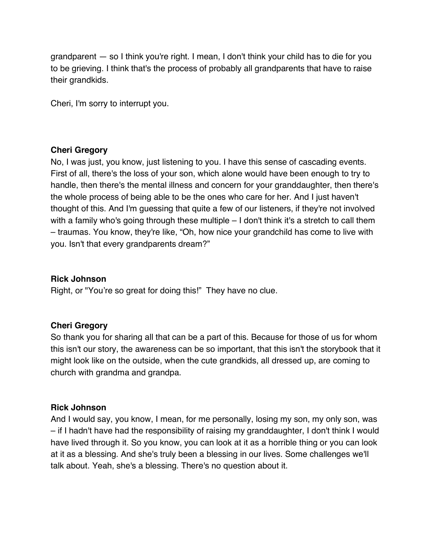grandparent — so I think you're right. I mean, I don't think your child has to die for you to be grieving. I think that's the process of probably all grandparents that have to raise their grandkids.

Cheri, I'm sorry to interrupt you.

#### **Cheri Gregory**

No, I was just, you know, just listening to you. I have this sense of cascading events. First of all, there's the loss of your son, which alone would have been enough to try to handle, then there's the mental illness and concern for your granddaughter, then there's the whole process of being able to be the ones who care for her. And I just haven't thought of this. And I'm guessing that quite a few of our listeners, if they're not involved with a family who's going through these multiple – I don't think it's a stretch to call them – traumas. You know, they're like, "Oh, how nice your grandchild has come to live with you. Isn't that every grandparents dream?"

#### **Rick Johnson**

Right, or "You're so great for doing this!" They have no clue.

### **Cheri Gregory**

So thank you for sharing all that can be a part of this. Because for those of us for whom this isn't our story, the awareness can be so important, that this isn't the storybook that it might look like on the outside, when the cute grandkids, all dressed up, are coming to church with grandma and grandpa.

### **Rick Johnson**

And I would say, you know, I mean, for me personally, losing my son, my only son, was – if I hadn't have had the responsibility of raising my granddaughter, I don't think I would have lived through it. So you know, you can look at it as a horrible thing or you can look at it as a blessing. And she's truly been a blessing in our lives. Some challenges we'll talk about. Yeah, she's a blessing. There's no question about it.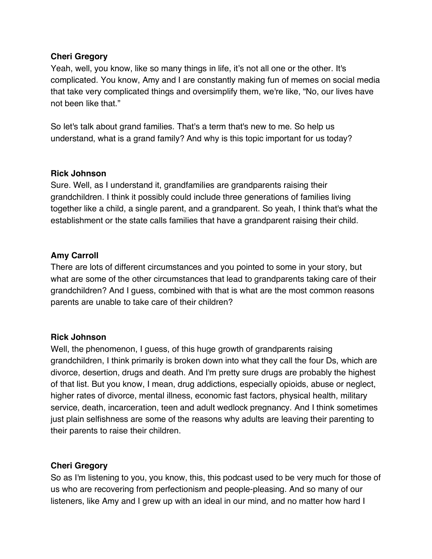## **Cheri Gregory**

Yeah, well, you know, like so many things in life, it's not all one or the other. It's complicated. You know, Amy and I are constantly making fun of memes on social media that take very complicated things and oversimplify them, we're like, "No, our lives have not been like that."

So let's talk about grand families. That's a term that's new to me. So help us understand, what is a grand family? And why is this topic important for us today?

### **Rick Johnson**

Sure. Well, as I understand it, grandfamilies are grandparents raising their grandchildren. I think it possibly could include three generations of families living together like a child, a single parent, and a grandparent. So yeah, I think that's what the establishment or the state calls families that have a grandparent raising their child.

# **Amy Carroll**

There are lots of different circumstances and you pointed to some in your story, but what are some of the other circumstances that lead to grandparents taking care of their grandchildren? And I guess, combined with that is what are the most common reasons parents are unable to take care of their children?

### **Rick Johnson**

Well, the phenomenon, I guess, of this huge growth of grandparents raising grandchildren, I think primarily is broken down into what they call the four Ds, which are divorce, desertion, drugs and death. And I'm pretty sure drugs are probably the highest of that list. But you know, I mean, drug addictions, especially opioids, abuse or neglect, higher rates of divorce, mental illness, economic fast factors, physical health, military service, death, incarceration, teen and adult wedlock pregnancy. And I think sometimes just plain selfishness are some of the reasons why adults are leaving their parenting to their parents to raise their children.

### **Cheri Gregory**

So as I'm listening to you, you know, this, this podcast used to be very much for those of us who are recovering from perfectionism and people-pleasing. And so many of our listeners, like Amy and I grew up with an ideal in our mind, and no matter how hard I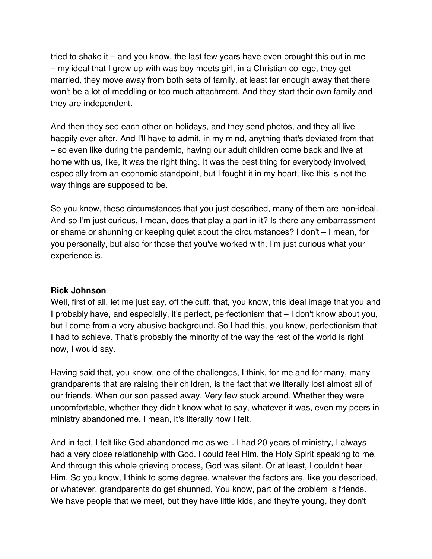tried to shake it – and you know, the last few years have even brought this out in me – my ideal that I grew up with was boy meets girl, in a Christian college, they get married, they move away from both sets of family, at least far enough away that there won't be a lot of meddling or too much attachment. And they start their own family and they are independent.

And then they see each other on holidays, and they send photos, and they all live happily ever after. And I'll have to admit, in my mind, anything that's deviated from that – so even like during the pandemic, having our adult children come back and live at home with us, like, it was the right thing. It was the best thing for everybody involved, especially from an economic standpoint, but I fought it in my heart, like this is not the way things are supposed to be.

So you know, these circumstances that you just described, many of them are non-ideal. And so I'm just curious, I mean, does that play a part in it? Is there any embarrassment or shame or shunning or keeping quiet about the circumstances? I don't – I mean, for you personally, but also for those that you've worked with, I'm just curious what your experience is.

### **Rick Johnson**

Well, first of all, let me just say, off the cuff, that, you know, this ideal image that you and I probably have, and especially, it's perfect, perfectionism that – I don't know about you, but I come from a very abusive background. So I had this, you know, perfectionism that I had to achieve. That's probably the minority of the way the rest of the world is right now, I would say.

Having said that, you know, one of the challenges, I think, for me and for many, many grandparents that are raising their children, is the fact that we literally lost almost all of our friends. When our son passed away. Very few stuck around. Whether they were uncomfortable, whether they didn't know what to say, whatever it was, even my peers in ministry abandoned me. I mean, it's literally how I felt.

And in fact, I felt like God abandoned me as well. I had 20 years of ministry, I always had a very close relationship with God. I could feel Him, the Holy Spirit speaking to me. And through this whole grieving process, God was silent. Or at least, I couldn't hear Him. So you know, I think to some degree, whatever the factors are, like you described, or whatever, grandparents do get shunned. You know, part of the problem is friends. We have people that we meet, but they have little kids, and they're young, they don't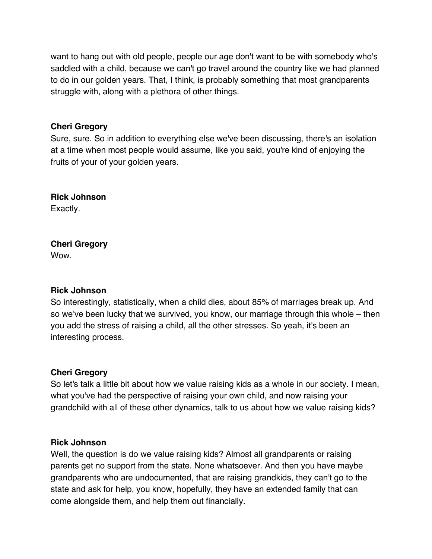want to hang out with old people, people our age don't want to be with somebody who's saddled with a child, because we can't go travel around the country like we had planned to do in our golden years. That, I think, is probably something that most grandparents struggle with, along with a plethora of other things.

## **Cheri Gregory**

Sure, sure. So in addition to everything else we've been discussing, there's an isolation at a time when most people would assume, like you said, you're kind of enjoying the fruits of your of your golden years.

**Rick Johnson** Exactly.

#### **Cheri Gregory** Wow.

### **Rick Johnson**

So interestingly, statistically, when a child dies, about 85% of marriages break up. And so we've been lucky that we survived, you know, our marriage through this whole – then you add the stress of raising a child, all the other stresses. So yeah, it's been an interesting process.

### **Cheri Gregory**

So let's talk a little bit about how we value raising kids as a whole in our society. I mean, what you've had the perspective of raising your own child, and now raising your grandchild with all of these other dynamics, talk to us about how we value raising kids?

### **Rick Johnson**

Well, the question is do we value raising kids? Almost all grandparents or raising parents get no support from the state. None whatsoever. And then you have maybe grandparents who are undocumented, that are raising grandkids, they can't go to the state and ask for help, you know, hopefully, they have an extended family that can come alongside them, and help them out financially.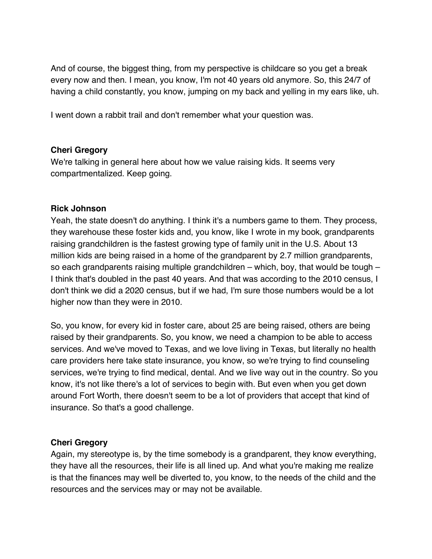And of course, the biggest thing, from my perspective is childcare so you get a break every now and then. I mean, you know, I'm not 40 years old anymore. So, this 24/7 of having a child constantly, you know, jumping on my back and yelling in my ears like, uh.

I went down a rabbit trail and don't remember what your question was.

# **Cheri Gregory**

We're talking in general here about how we value raising kids. It seems very compartmentalized. Keep going.

# **Rick Johnson**

Yeah, the state doesn't do anything. I think it's a numbers game to them. They process, they warehouse these foster kids and, you know, like I wrote in my book, grandparents raising grandchildren is the fastest growing type of family unit in the U.S. About 13 million kids are being raised in a home of the grandparent by 2.7 million grandparents, so each grandparents raising multiple grandchildren – which, boy, that would be tough – I think that's doubled in the past 40 years. And that was according to the 2010 census, I don't think we did a 2020 census, but if we had, I'm sure those numbers would be a lot higher now than they were in 2010.

So, you know, for every kid in foster care, about 25 are being raised, others are being raised by their grandparents. So, you know, we need a champion to be able to access services. And we've moved to Texas, and we love living in Texas, but literally no health care providers here take state insurance, you know, so we're trying to find counseling services, we're trying to find medical, dental. And we live way out in the country. So you know, it's not like there's a lot of services to begin with. But even when you get down around Fort Worth, there doesn't seem to be a lot of providers that accept that kind of insurance. So that's a good challenge.

# **Cheri Gregory**

Again, my stereotype is, by the time somebody is a grandparent, they know everything, they have all the resources, their life is all lined up. And what you're making me realize is that the finances may well be diverted to, you know, to the needs of the child and the resources and the services may or may not be available.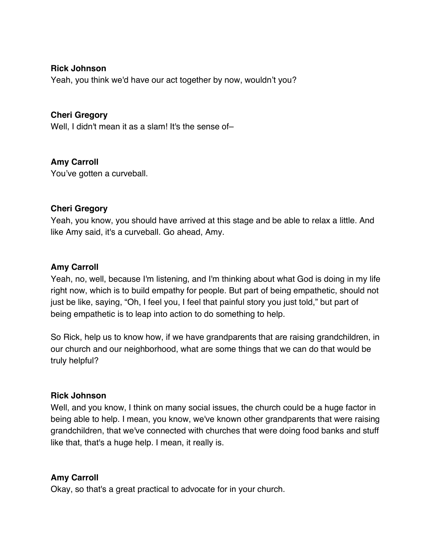### **Rick Johnson**

Yeah, you think we'd have our act together by now, wouldn't you?

# **Cheri Gregory**

Well, I didn't mean it as a slam! It's the sense of-

# **Amy Carroll**

You've gotten a curveball.

### **Cheri Gregory**

Yeah, you know, you should have arrived at this stage and be able to relax a little. And like Amy said, it's a curveball. Go ahead, Amy.

#### **Amy Carroll**

Yeah, no, well, because I'm listening, and I'm thinking about what God is doing in my life right now, which is to build empathy for people. But part of being empathetic, should not just be like, saying, "Oh, I feel you, I feel that painful story you just told," but part of being empathetic is to leap into action to do something to help.

So Rick, help us to know how, if we have grandparents that are raising grandchildren, in our church and our neighborhood, what are some things that we can do that would be truly helpful?

#### **Rick Johnson**

Well, and you know, I think on many social issues, the church could be a huge factor in being able to help. I mean, you know, we've known other grandparents that were raising grandchildren, that we've connected with churches that were doing food banks and stuff like that, that's a huge help. I mean, it really is.

### **Amy Carroll**

Okay, so that's a great practical to advocate for in your church.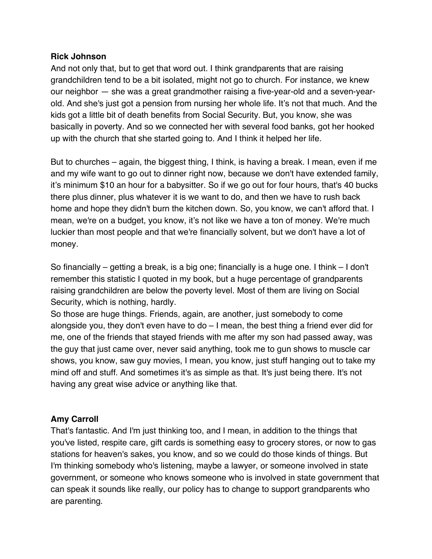# **Rick Johnson**

And not only that, but to get that word out. I think grandparents that are raising grandchildren tend to be a bit isolated, might not go to church. For instance, we knew our neighbor — she was a great grandmother raising a five-year-old and a seven-yearold. And she's just got a pension from nursing her whole life. It's not that much. And the kids got a little bit of death benefits from Social Security. But, you know, she was basically in poverty. And so we connected her with several food banks, got her hooked up with the church that she started going to. And I think it helped her life.

But to churches – again, the biggest thing, I think, is having a break. I mean, even if me and my wife want to go out to dinner right now, because we don't have extended family, it's minimum \$10 an hour for a babysitter. So if we go out for four hours, that's 40 bucks there plus dinner, plus whatever it is we want to do, and then we have to rush back home and hope they didn't burn the kitchen down. So, you know, we can't afford that. I mean, we're on a budget, you know, it's not like we have a ton of money. We're much luckier than most people and that we're financially solvent, but we don't have a lot of money.

So financially – getting a break, is a big one; financially is a huge one. I think – I don't remember this statistic I quoted in my book, but a huge percentage of grandparents raising grandchildren are below the poverty level. Most of them are living on Social Security, which is nothing, hardly.

So those are huge things. Friends, again, are another, just somebody to come alongside you, they don't even have to do – I mean, the best thing a friend ever did for me, one of the friends that stayed friends with me after my son had passed away, was the guy that just came over, never said anything, took me to gun shows to muscle car shows, you know, saw guy movies, I mean, you know, just stuff hanging out to take my mind off and stuff. And sometimes it's as simple as that. It's just being there. It's not having any great wise advice or anything like that.

# **Amy Carroll**

That's fantastic. And I'm just thinking too, and I mean, in addition to the things that you've listed, respite care, gift cards is something easy to grocery stores, or now to gas stations for heaven's sakes, you know, and so we could do those kinds of things. But I'm thinking somebody who's listening, maybe a lawyer, or someone involved in state government, or someone who knows someone who is involved in state government that can speak it sounds like really, our policy has to change to support grandparents who are parenting.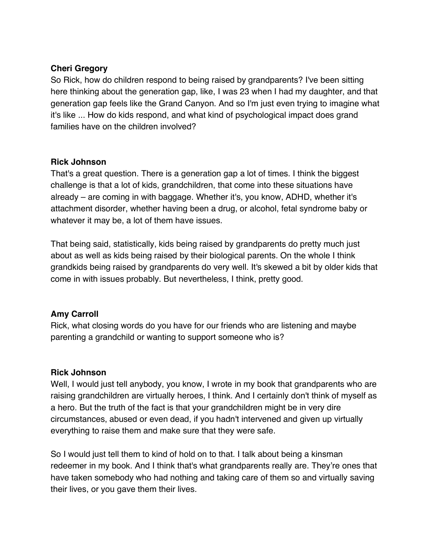# **Cheri Gregory**

So Rick, how do children respond to being raised by grandparents? I've been sitting here thinking about the generation gap, like, I was 23 when I had my daughter, and that generation gap feels like the Grand Canyon. And so I'm just even trying to imagine what it's like ... How do kids respond, and what kind of psychological impact does grand families have on the children involved?

### **Rick Johnson**

That's a great question. There is a generation gap a lot of times. I think the biggest challenge is that a lot of kids, grandchildren, that come into these situations have already – are coming in with baggage. Whether it's, you know, ADHD, whether it's attachment disorder, whether having been a drug, or alcohol, fetal syndrome baby or whatever it may be, a lot of them have issues.

That being said, statistically, kids being raised by grandparents do pretty much just about as well as kids being raised by their biological parents. On the whole I think grandkids being raised by grandparents do very well. It's skewed a bit by older kids that come in with issues probably. But nevertheless, I think, pretty good.

### **Amy Carroll**

Rick, what closing words do you have for our friends who are listening and maybe parenting a grandchild or wanting to support someone who is?

### **Rick Johnson**

Well, I would just tell anybody, you know, I wrote in my book that grandparents who are raising grandchildren are virtually heroes, I think. And I certainly don't think of myself as a hero. But the truth of the fact is that your grandchildren might be in very dire circumstances, abused or even dead, if you hadn't intervened and given up virtually everything to raise them and make sure that they were safe.

So I would just tell them to kind of hold on to that. I talk about being a kinsman redeemer in my book. And I think that's what grandparents really are. They're ones that have taken somebody who had nothing and taking care of them so and virtually saving their lives, or you gave them their lives.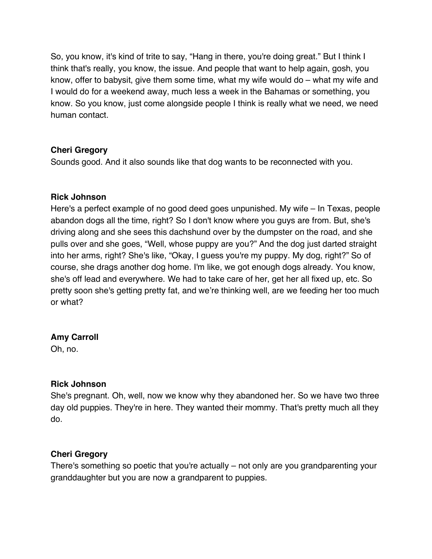So, you know, it's kind of trite to say, "Hang in there, you're doing great." But I think I think that's really, you know, the issue. And people that want to help again, gosh, you know, offer to babysit, give them some time, what my wife would do – what my wife and I would do for a weekend away, much less a week in the Bahamas or something, you know. So you know, just come alongside people I think is really what we need, we need human contact.

# **Cheri Gregory**

Sounds good. And it also sounds like that dog wants to be reconnected with you.

# **Rick Johnson**

Here's a perfect example of no good deed goes unpunished. My wife – In Texas, people abandon dogs all the time, right? So I don't know where you guys are from. But, she's driving along and she sees this dachshund over by the dumpster on the road, and she pulls over and she goes, "Well, whose puppy are you?" And the dog just darted straight into her arms, right? She's like, "Okay, I guess you're my puppy. My dog, right?" So of course, she drags another dog home. I'm like, we got enough dogs already. You know, she's off lead and everywhere. We had to take care of her, get her all fixed up, etc. So pretty soon she's getting pretty fat, and we're thinking well, are we feeding her too much or what?

# **Amy Carroll**

Oh, no.

# **Rick Johnson**

She's pregnant. Oh, well, now we know why they abandoned her. So we have two three day old puppies. They're in here. They wanted their mommy. That's pretty much all they do.

# **Cheri Gregory**

There's something so poetic that you're actually – not only are you grandparenting your granddaughter but you are now a grandparent to puppies.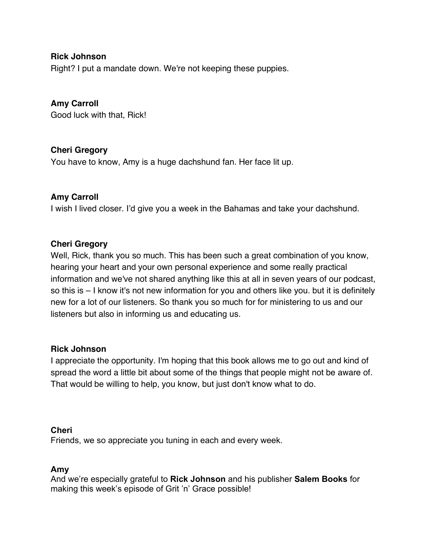**Rick Johnson**

Right? I put a mandate down. We're not keeping these puppies.

**Amy Carroll** Good luck with that, Rick!

# **Cheri Gregory**

You have to know, Amy is a huge dachshund fan. Her face lit up.

# **Amy Carroll**

I wish I lived closer. I'd give you a week in the Bahamas and take your dachshund.

### **Cheri Gregory**

Well, Rick, thank you so much. This has been such a great combination of you know, hearing your heart and your own personal experience and some really practical information and we've not shared anything like this at all in seven years of our podcast, so this is – I know it's not new information for you and others like you. but it is definitely new for a lot of our listeners. So thank you so much for for ministering to us and our listeners but also in informing us and educating us.

### **Rick Johnson**

I appreciate the opportunity. I'm hoping that this book allows me to go out and kind of spread the word a little bit about some of the things that people might not be aware of. That would be willing to help, you know, but just don't know what to do.

#### **Cheri**

Friends, we so appreciate you tuning in each and every week.

### **Amy**

And we're especially grateful to **Rick Johnson** and his publisher **Salem Books** for making this week's episode of Grit 'n' Grace possible!